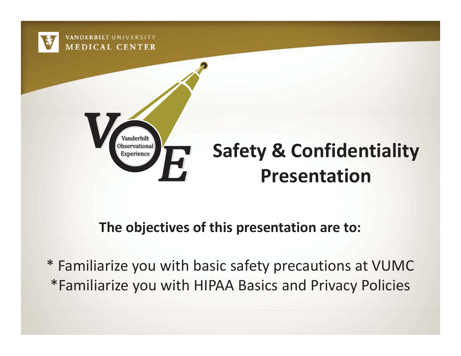

#### **The objectives of this presentation are to:**

\* Familiarize you with basic safety precautions at VUMC \*Familiarize you with HIPAA Basics and Privacy Policies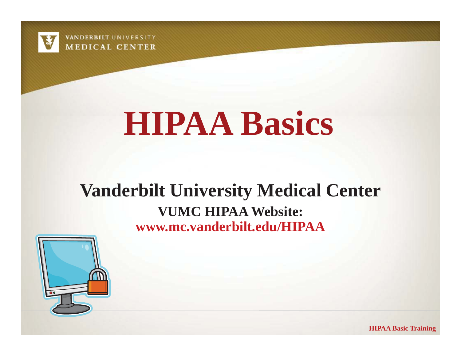

# **HIPAA Basics**

#### **Vanderbilt University Medical Center VUMC HIPAA Website: www.mc.vanderbilt.edu/HIPAA**



**HIPAA Basic Training**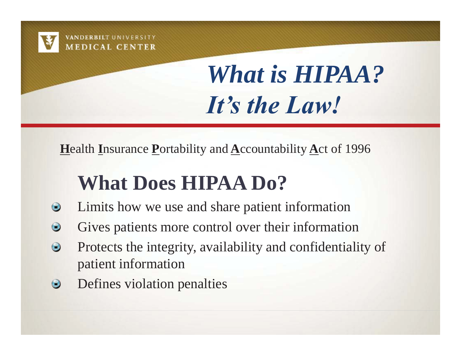

## *What is HIPAA? It's the Law!*

**Health Insurance Portability and Accountability Act of 1996** 

### **What Does HIPAA Do?**

- Limits how we use and share patient information  $\bullet$
- Gives patients more control over their information  $\bigcirc$
- Protects the integrity, availability and confidentiality of  $\bigcirc$ patient information
- Defines violation penalties  $\bigcirc$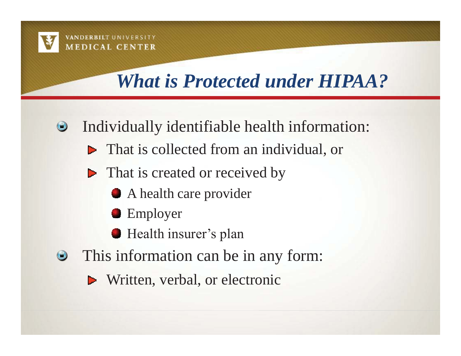

#### *What is Protected under HIPAA?*

- Individually identifiable health information:  $\bullet$ 
	- **F** That is collected from an individual, or
	- $\blacktriangleright$  That is created or received by
		- A health care provider
		- **Employer**
		- **Health insurer's plan**
- This information can be in any form:  $\bigcirc$ 
	- **N**ritten, verbal, or electronic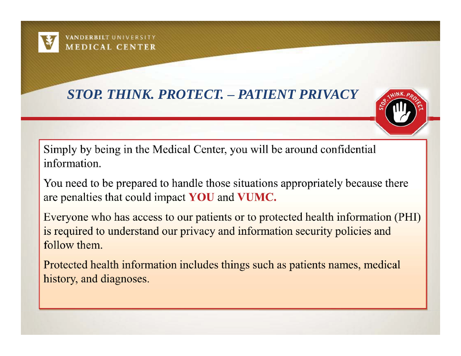

#### *STOP. THINK. PROTECT. – PATIENT PRIVACY*



Simply by being in the Medical Center, you will be around confidential information.

You need to be prepared to handle those situations appropriately because there are penalties that could impact YOU and VUMC.

Everyone who has access to our patients or to protected health information (PHI) is required to understand our privacy and information security policies and follow them.

Protected health information includes things such as patients names, medical history, and diagnoses.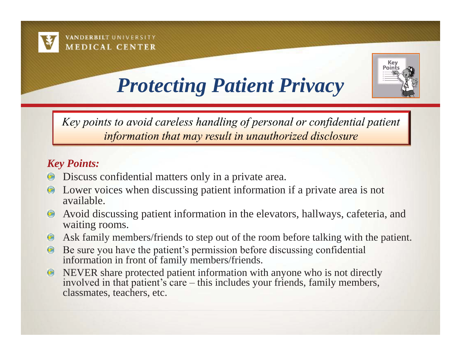



#### *Protecting Patient Privacy*

Key points to avoid careless handling of personal or confidential patient information that may result in unauthorized disclosure

#### *Key Points:*

- Discuss confidential matters only in a private area.
- Lower voices when discussing patient information if a private area is not available.
- Avoid discussing patient information in the elevators, hallways, cafeteria, and  $\odot$ waiting rooms.
- Ask family members/friends to step out of the room before talking with the patient.  $\odot$
- Be sure you have the patient's permission before discussing confidential  $\odot$ information in front of family members/friends.
- NEVER share protected patient information with anyone who is not directly  $\odot$ involved in that patient's care – this includes your friends, family members, classmates, teachers, etc.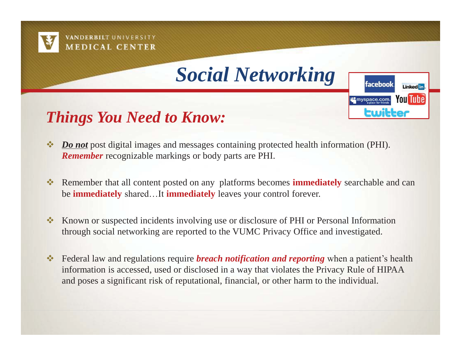



facebook

Ewitter

**it's** myspace.com.

**Linked** in

**You Tube** 





- Remember that all content posted on any platforms becomes **immediately** searchable and can be **immediately** shared…It **immediately** leaves your control forever.
- $\mathcal{L}(\mathcal{L})$  Known or suspected incidents involving use or disclosure of PHI or Personal Information through social networking are reported to the VUMC Privacy Office and investigated.
- **Example 2.4 Federal law and regulations require** *breach notification and reporting* **when a patient's health** information is accessed, used or disclosed in a way that violates the Privacy Rule of HIPAA and poses a significant risk of reputational, financial, or other harm to the individual.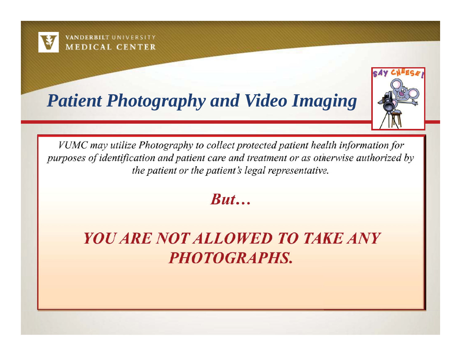

#### *Patient Photography and Video Imaging*



VUMC may utilize Photography to collect protected patient health information for purposes of identification and patient care and treatment or as otherwise authorized by the patient or the patient's legal representative.

 $But...$ 

**YOU ARE NOT ALLOWED TO TAKE ANY PHOTOGRAPHS.**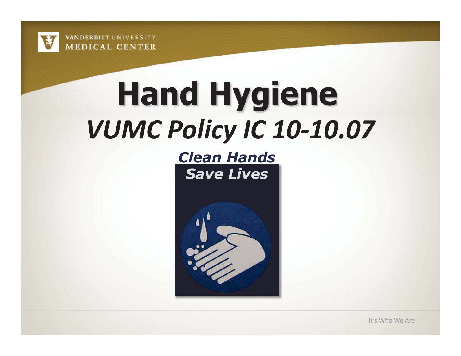

# **Hand Hygiene**  *VUMC Policy IC 10-10.07*

*Clean Hands Save Lives* 

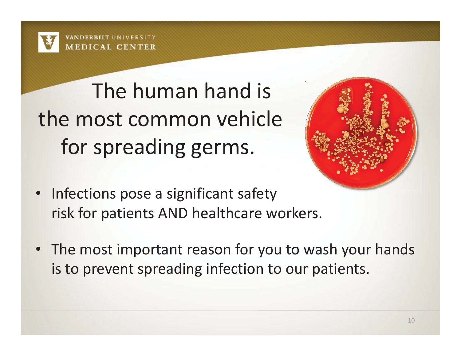

 The human hand is the most common vehicle for spreading germs.



- Infections pose a significant safety risk for patients AND healthcare workers.
- The most important reason for you to wash your hands is to prevent spreading infection to our patients.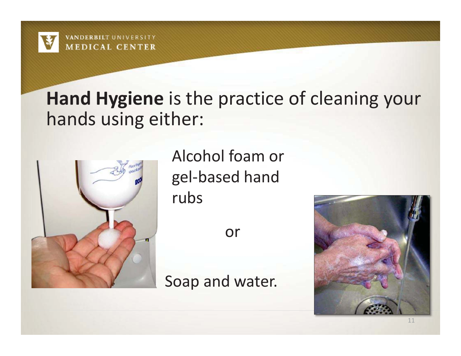

#### **Hand Hygiene** is the practice of cleaning your hands using either:



Alcohol foam or gel-based hand rubs

or

Soap and water.

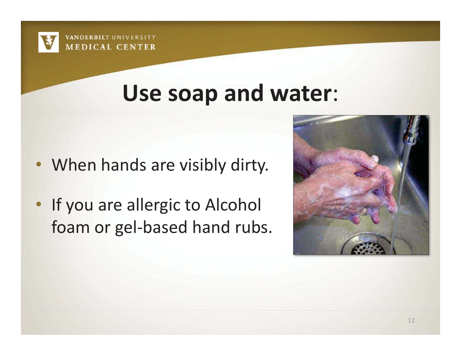

## **Use soap and water**:

- When hands are visibly dirty.
- If you are allergic to Alcohol foam or gel-based hand rubs.

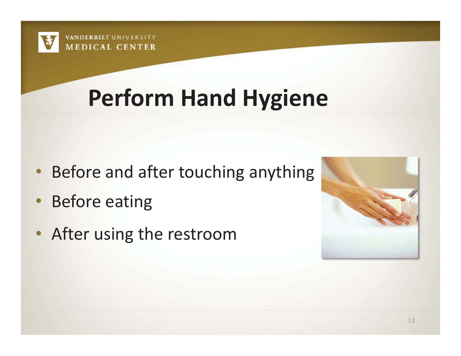

## **Perform Hand Hygiene**

- Before and after touching anything
- •Before eating
- After using the restroom

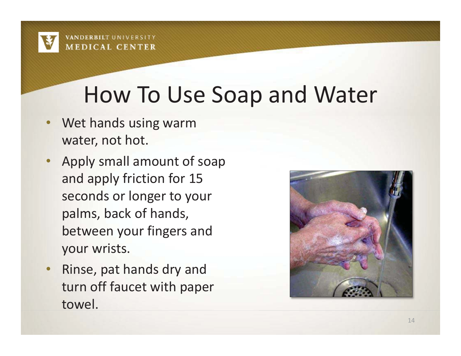## How To Use Soap and Water

- • Wet hands using warm water, not hot.
- • Apply small amount of soap and apply friction for 15 seconds or longer to your palms, back of hands, between your fingers and your wrists.
- • Rinse, pat hands dry and turn off faucet with paper towel.

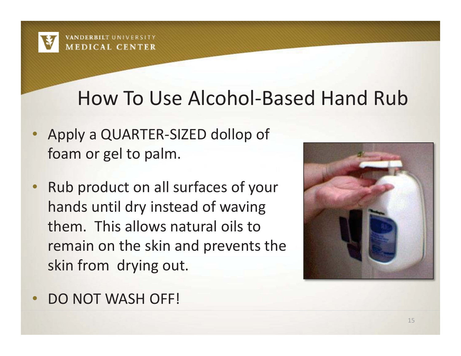#### How To Use Alcohol-Based Hand Rub

- Apply a QUARTER-SIZED dollop of foam or gel to palm.
- • Rub product on all surfaces of your hands until dry instead of waving them. This allows natural oils to remain on the skin and prevents the skin from drying out.



•DO NOT WASH OFF!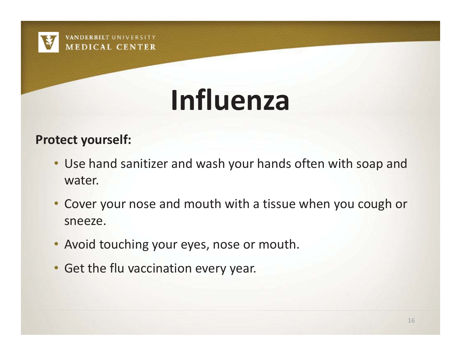

# **Influenza**

#### **Protect yourself:**

- Use hand sanitizer and wash your hands often with soap and water.
- Cover your nose and mouth with a tissue when you cough or sneeze.
- Avoid touching your eyes, nose or mouth.
- Get the flu vaccination every year.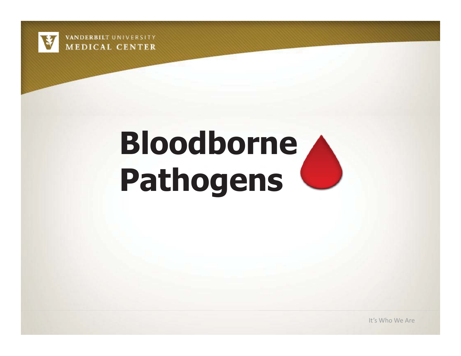

# **Bloodborne Pathogens**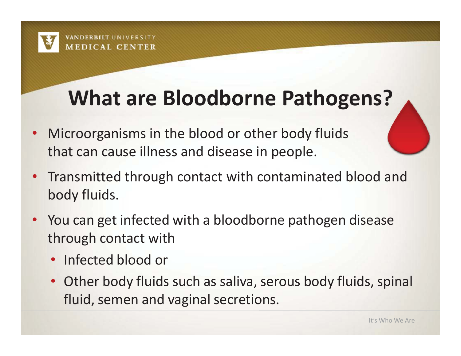## **What are Bloodborne Pathogens?**

- $\bullet$  Microorganisms in the blood or other body fluids that can cause illness and disease in people.
- $\bullet$  Transmitted through contact with contaminated blood and body fluids.
- $\bullet$  You can get infected with a bloodborne pathogen disease through contact with
	- $\bullet$ Infected blood or
	- $\bullet$  Other body fluids such as saliva, serous body fluids, spinal fluid, semen and vaginal secretions.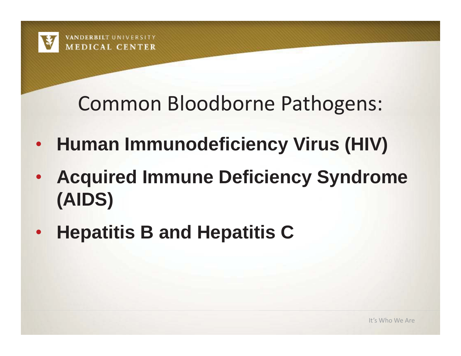#### Common Bloodborne Pathogens:

- $\bullet$ **Human Immunodeficiency Virus (HIV)**
- $\bullet$  **Acquired Immune Deficiency Syndrome (AIDS)**
- •**Hepatitis B and Hepatitis C**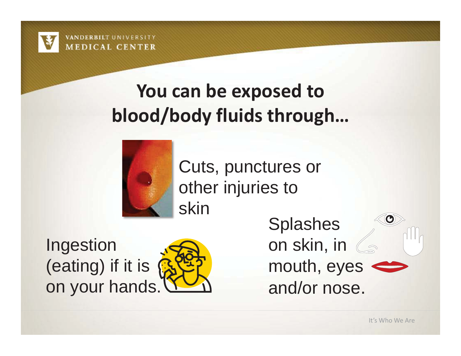

#### **You can be exposed to blood/body fluids through…**



Cuts, punctures or other injuries to skin

Ingestion (eating) if it is on your hands.



**Splashes** on skin, in mouth, eyes  $\Leftrightarrow$ and/or nose.

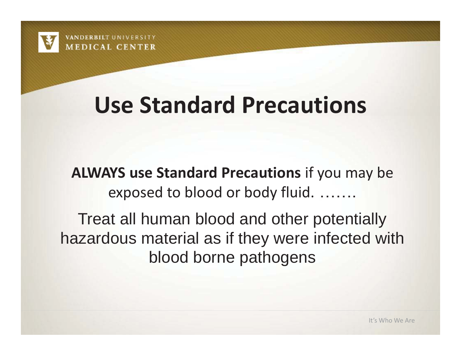## **Use Standard Precautions**

**ALWAYS use Standard Precautions** if you may be exposed to blood or body fluid. …….

Treat all human blood and other potentially hazardous material as if they were infected with blood borne pathogens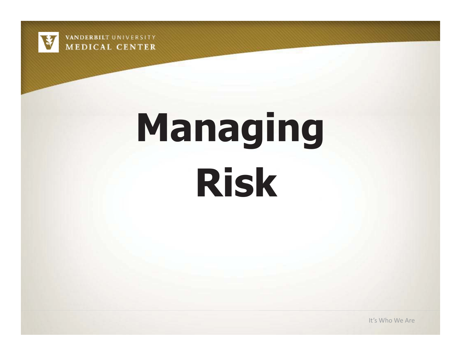

# **Managing Risk**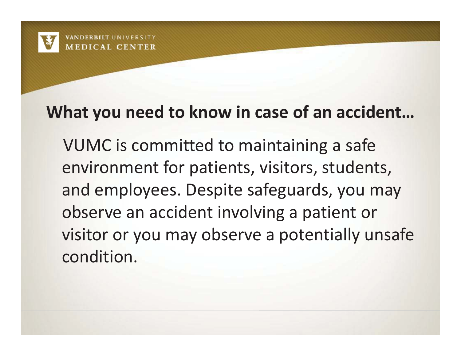#### **What you need to know in case of an accident…**

 VUMC is committed to maintaining a safe environment for patients, visitors, students, and employees. Despite safeguards, you may observe an accident involving a patient or visitor or you may observe a potentially unsafe condition.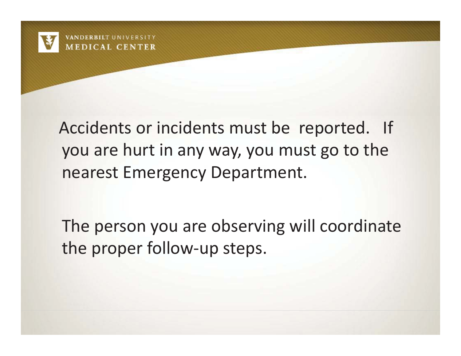

 Accidents or incidents must be reported. If you are hurt in any way, you must go to the nearest Emergency Department.

 The person you are observing will coordinate the proper follow-up steps.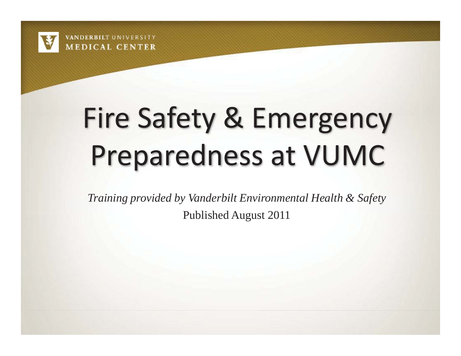

# Fire Safety & Emergency Preparedness at VUMC

*Training provided by Vanderbilt Environmental Health & Safety* 

Published August 2011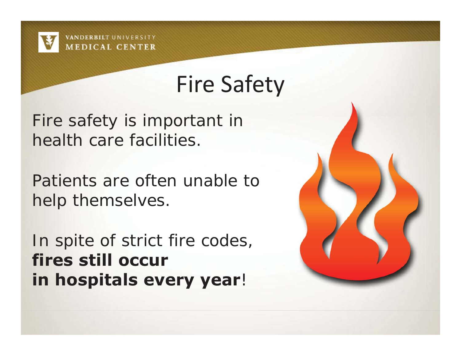

## Fire Safety

Fire safety is important in health care facilities.

Patients are often unable to help themselves.

In spite of strict fire codes, **fires still occur in hospitals every year**!

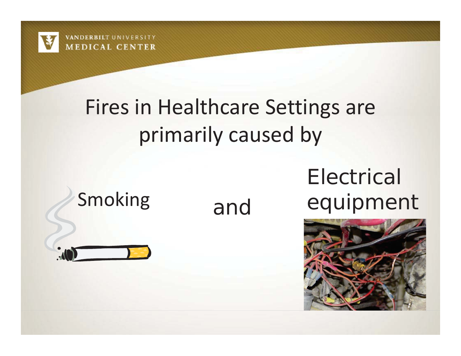

## Fires in Healthcare Settings are primarily caused by

### Electrical Smoking and equipment



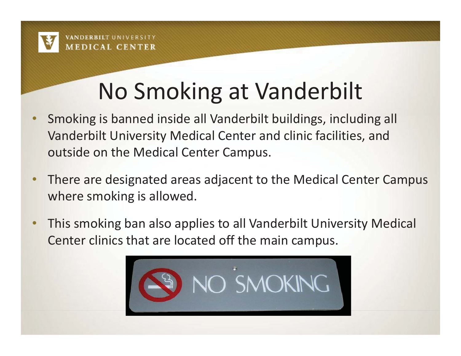

## No Smoking at Vanderbilt

- • Smoking is banned inside all Vanderbilt buildings, including all Vanderbilt University Medical Center and clinic facilities, and outside on the Medical Center Campus.
- • There are designated areas adjacent to the Medical Center Campus where smoking is allowed.
- • This smoking ban also applies to all Vanderbilt University Medical Center clinics that are located off the main campus.

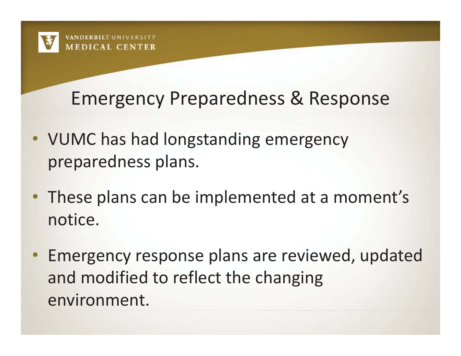#### Emergency Preparedness & Response

- VUMC has had longstanding emergency preparedness plans.
- These plans can be implemented at a moment's notice.
- • Emergency response plans are reviewed, updated and modified to reflect the changing environment.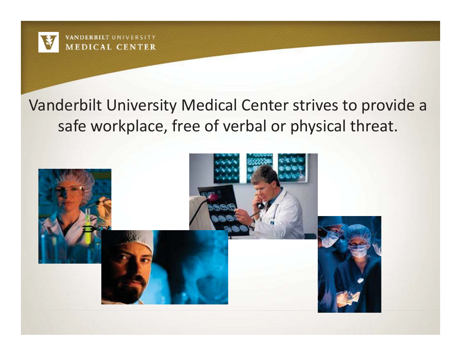

#### Vanderbilt University Medical Center strives to provide a safe workplace, free of verbal or physical threat.

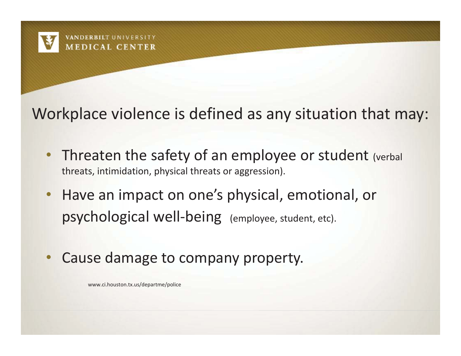

#### Workplace violence is defined as any situation that may:

- Threaten the safety of an employee or student (verbal threats, intimidation, physical threats or aggression).
- • Have an impact on one's physical, emotional, or psychological well-being (employee, student, etc).
- •Cause damage to company property.

www.ci.houston.tx.us/departme/police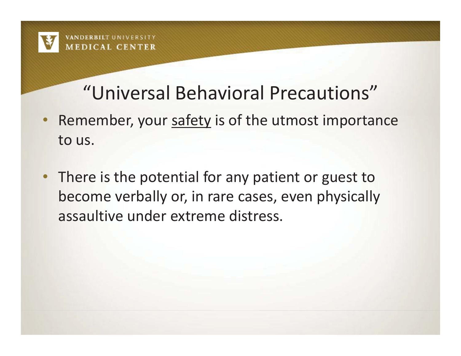

#### "Universal Behavioral Precautions"

- Remember, your safety is of the utmost importance to us.
- There is the potential for any patient or guest to become verbally or, in rare cases, even physically assaultive under extreme distress.